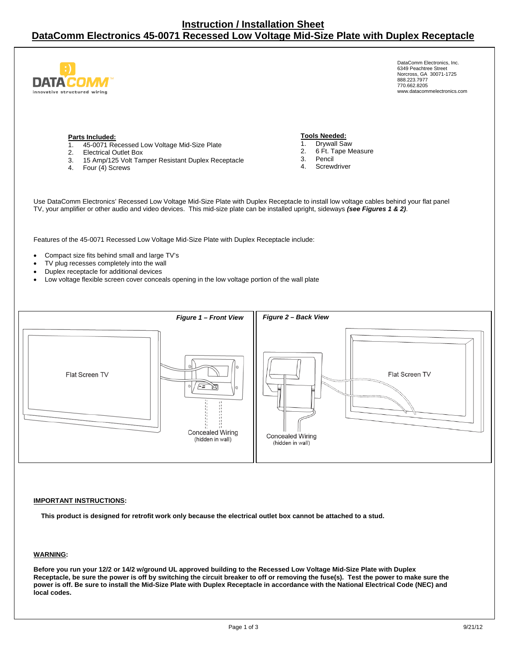

DataComm Electronics, Inc. 6349 Peachtree Street Norcross, GA 30071-1725 888.223.7977 770.662.8205 www.datacommelectronics.com

#### **Parts Included:**

- 1. 45-0071 Recessed Low Voltage Mid-Size Plate
- 2. Electrical Outlet Box
- 3. 15 Amp/125 Volt Tamper Resistant Duplex Receptacle
- 4. Four (4) Screws

#### **Tools Needed:**

- 1. Drywall Saw
- 2. 6 Ft. Tape Measure
- 3. Pencil
- 4. Screwdriver

Use DataComm Electronics' Recessed Low Voltage Mid-Size Plate with Duplex Receptacle to install low voltage cables behind your flat panel TV, your amplifier or other audio and video devices. This mid-size plate can be installed upright, sideways *(see Figures 1 & 2)*.

Features of the 45-0071 Recessed Low Voltage Mid-Size Plate with Duplex Receptacle include:

Compact size fits behind small and large TV's

- TV plug recesses completely into the wall
- Duplex receptacle for additional devices
- Low voltage flexible screen cover conceals opening in the low voltage portion of the wall plate



#### **IMPORTANT INSTRUCTIONS:**

**This product is designed for retrofit work only because the electrical outlet box cannot be attached to a stud.** 

#### **WARNING:**

**Before you run your 12/2 or 14/2 w/ground UL approved building to the Recessed Low Voltage Mid-Size Plate with Duplex Receptacle, be sure the power is off by switching the circuit breaker to off or removing the fuse(s). Test the power to make sure the power is off. Be sure to install the Mid-Size Plate with Duplex Receptacle in accordance with the National Electrical Code (NEC) and local codes.**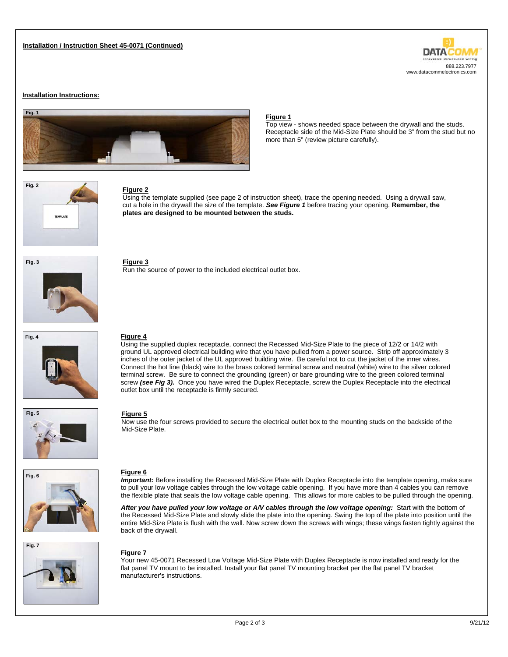# **DATA** 888.223.7977 www.datacommelectronics.com

#### **Installation Instructions:**



#### **Figure 1**

Top view - shows needed space between the drywall and the studs. Receptacle side of the Mid-Size Plate should be 3" from the stud but no more than 5" (review picture carefully).



#### **Figure 2**

Using the template supplied (see page 2 of instruction sheet), trace the opening needed. Using a drywall saw, cut a hole in the drywall the size of the template. *See Figure 1* before tracing your opening. **Remember, the plates are designed to be mounted between the studs.**



**Figure 3**  Run the source of power to the included electrical outlet box.

outlet box until the receptacle is firmly secured.



 **Fig. 5** 

#### **Figure 5**

**Figure 4** 

Now use the four screws provided to secure the electrical outlet box to the mounting studs on the backside of the Mid-Size Plate.

Using the supplied duplex receptacle, connect the Recessed Mid-Size Plate to the piece of 12/2 or 14/2 with ground UL approved electrical building wire that you have pulled from a power source. Strip off approximately 3 inches of the outer jacket of the UL approved building wire. Be careful not to cut the jacket of the inner wires. Connect the hot line (black) wire to the brass colored terminal screw and neutral (white) wire to the silver colored terminal screw. Be sure to connect the grounding (green) or bare grounding wire to the green colored terminal screw *(see Fig 3).* Once you have wired the Duplex Receptacle, screw the Duplex Receptacle into the electrical





*Important:* Before installing the Recessed Mid-Size Plate with Duplex Receptacle into the template opening, make sure to pull your low voltage cables through the low voltage cable opening. If you have more than 4 cables you can remove the flexible plate that seals the low voltage cable opening. This allows for more cables to be pulled through the opening.

After you have pulled your low voltage or A/V cables through the low voltage opening: Start with the bottom of the Recessed Mid-Size Plate and slowly slide the plate into the opening. Swing the top of the plate into position until the entire Mid-Size Plate is flush with the wall. Now screw down the screws with wings; these wings fasten tightly against the back of the drywall.

#### **Figure 7**

Your new 45-0071 Recessed Low Voltage Mid-Size Plate with Duplex Receptacle is now installed and ready for the flat panel TV mount to be installed. Install your flat panel TV mounting bracket per the flat panel TV bracket manufacturer's instructions.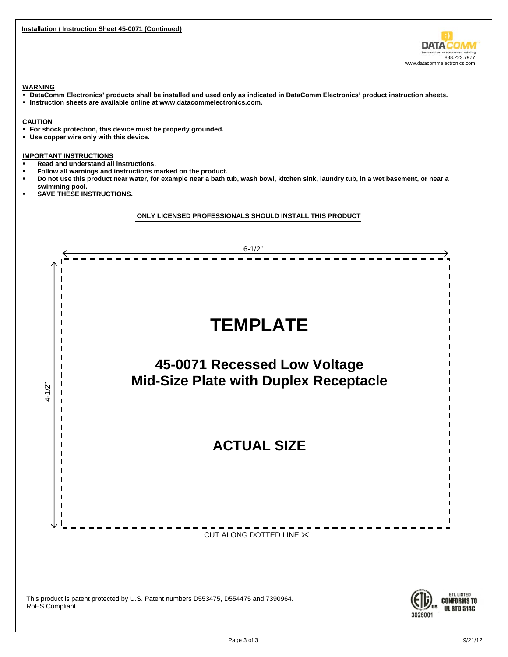**Installation / Instruction Sheet 45-0071 (Continued)** 

3026001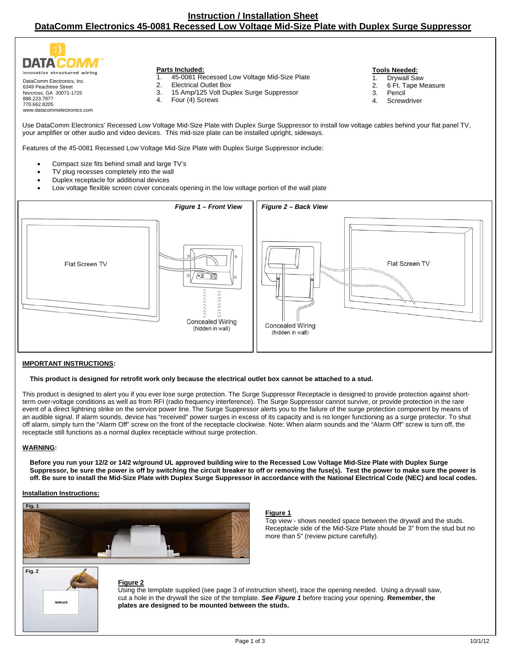

- 1. 45-0081 Recessed Low Voltage Mid-Size Plate
- 
- **Tools Needed:**
- 1. Drywall Saw
- 2. 6 Ft. Tape Measure
- 3. Pencil
- 4. Screwdriver

Use DataComm Electronics' Recessed Low Voltage Mid-Size Plate with Duplex Surge Suppressor to install low voltage cables behind your flat panel TV, your amplifier or other audio and video devices. This mid-size plate can be installed upright, sideways.

Features of the 45-0081 Recessed Low Voltage Mid-Size Plate with Duplex Surge Suppressor include:

- Compact size fits behind small and large TV's
- TV plug recesses completely into the wall
- Duplex receptacle for additional devices
- Low voltage flexible screen cover conceals opening in the low voltage portion of the wall plate



#### **IMPORTANT INSTRUCTIONS:**

#### **This product is designed for retrofit work only because the electrical outlet box cannot be attached to a stud.**

This product is designed to alert you if you ever lose surge protection. The Surge Suppressor Receptacle is designed to provide protection against shortterm over-voltage conditions as well as from RFI (radio frequency interference). The Surge Suppressor cannot survive, or provide protection in the rare event of a direct lightning strike on the service power line. The Surge Suppressor alerts you to the failure of the surge protection component by means of an audible signal. If alarm sounds, device has "received" power surges in excess of its capacity and is no longer functioning as a surge protector. To shut off alarm, simply turn the "Alarm Off" screw on the front of the receptacle clockwise. Note: When alarm sounds and the "Alarm Off" screw is turn off, the receptacle still functions as a normal duplex receptacle without surge protection.

#### **WARNING:**

**Before you run your 12/2 or 14/2 w/ground UL approved building wire to the Recessed Low Voltage Mid-Size Plate with Duplex Surge Suppressor, be sure the power is off by switching the circuit breaker to off or removing the fuse(s). Test the power to make sure the power is off. Be sure to install the Mid-Size Plate with Duplex Surge Suppressor in accordance with the National Electrical Code (NEC) and local codes.** 

#### **Installation Instructions:**



#### **Figure 1**

Top view - shows needed space between the drywall and the studs. Receptacle side of the Mid-Size Plate should be 3" from the stud but no more than 5" (review picture carefully).



#### **Figure 2**

Using the template supplied (see page 3 of instruction sheet), trace the opening needed. Using a drywall saw, cut a hole in the drywall the size of the template. *See Figure 1* before tracing your opening. **Remember, the plates are designed to be mounted between the studs.**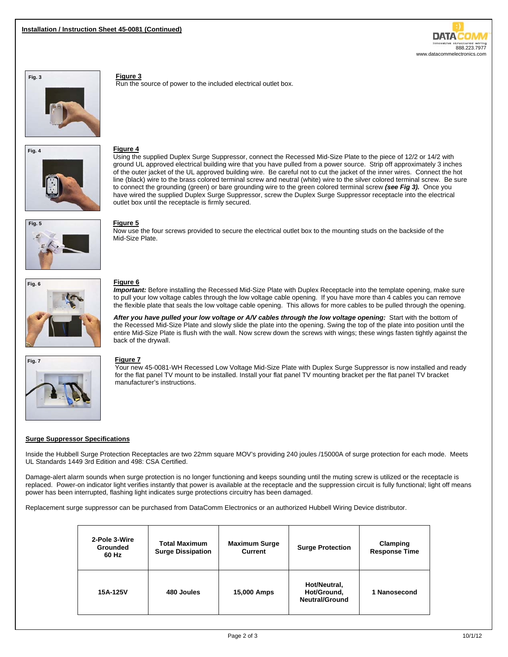





# **Figure 4**

**Figure 3** 

Run the source of power to the included electrical outlet box.

Using the supplied Duplex Surge Suppressor, connect the Recessed Mid-Size Plate to the piece of 12/2 or 14/2 with ground UL approved electrical building wire that you have pulled from a power source. Strip off approximately 3 inches of the outer jacket of the UL approved building wire. Be careful not to cut the jacket of the inner wires. Connect the hot line (black) wire to the brass colored terminal screw and neutral (white) wire to the silver colored terminal screw. Be sure to connect the grounding (green) or bare grounding wire to the green colored terminal screw *(see Fig 3).* Once you have wired the supplied Duplex Surge Suppressor, screw the Duplex Surge Suppressor receptacle into the electrical outlet box until the receptacle is firmly secured.



#### **Figure 5**

Now use the four screws provided to secure the electrical outlet box to the mounting studs on the backside of the Mid-Size Plate.



#### **Figure 6**

*Important:* Before installing the Recessed Mid-Size Plate with Duplex Receptacle into the template opening, make sure to pull your low voltage cables through the low voltage cable opening. If you have more than 4 cables you can remove the flexible plate that seals the low voltage cable opening. This allows for more cables to be pulled through the opening.

After you have pulled your low voltage or A/V cables through the low voltage opening: Start with the bottom of the Recessed Mid-Size Plate and slowly slide the plate into the opening. Swing the top of the plate into position until the entire Mid-Size Plate is flush with the wall. Now screw down the screws with wings; these wings fasten tightly against the back of the drywall.



#### **Figure 7**

Your new 45-0081-WH Recessed Low Voltage Mid-Size Plate with Duplex Surge Suppressor is now installed and ready for the flat panel TV mount to be installed. Install your flat panel TV mounting bracket per the flat panel TV bracket manufacturer's instructions.

#### **Surge Suppressor Specifications**

Inside the Hubbell Surge Protection Receptacles are two 22mm square MOV's providing 240 joules /15000A of surge protection for each mode. Meets UL Standards 1449 3rd Edition and 498: CSA Certified.

Damage-alert alarm sounds when surge protection is no longer functioning and keeps sounding until the muting screw is utilized or the receptacle is replaced. Power-on indicator light verifies instantly that power is available at the receptacle and the suppression circuit is fully functional; light off means power has been interrupted, flashing light indicates surge protections circuitry has been damaged.

Replacement surge suppressor can be purchased from DataComm Electronics or an authorized Hubbell Wiring Device distributor.

| 2-Pole 3-Wire<br><b>Grounded</b><br>60 Hz | <b>Total Maximum</b><br><b>Surge Dissipation</b> | <b>Maximum Surge</b><br><b>Current</b> | <b>Surge Protection</b>                              | Clamping<br><b>Response Time</b> |
|-------------------------------------------|--------------------------------------------------|----------------------------------------|------------------------------------------------------|----------------------------------|
| 15A-125V                                  | 480 Joules                                       | 15,000 Amps                            | Hot/Neutral,<br>Hot/Ground,<br><b>Neutral/Ground</b> | 1 Nanosecond                     |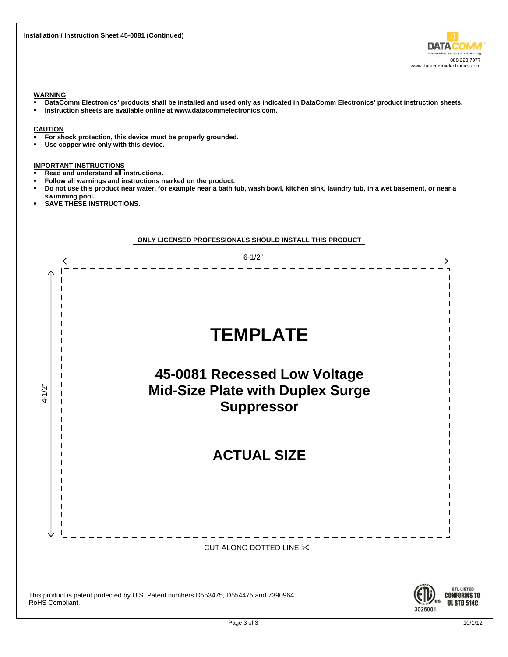

#### **WARNING**

- **DataComm Electronics' products shall be installed and used only as indicated in DataComm Electronics' product instruction sheets.**
- **Instruction sheets are available online at www.datacommelectronics.com.**

#### **CAUTION**

- **For shock protection, this device must be properly grounded.**
- **Use copper wire only with this device.**

### **IMPORTANT INSTRUCTIONS**

- **Read and understand all instructions.**
- **Follow all warnings and instructions marked on the product.**
- **Do not use this product near water, for example near a bath tub, wash bowl, kitchen sink, laundry tub, in a wet basement, or near a swimming pool.**
- **SAVE THESE INSTRUCTIONS.**

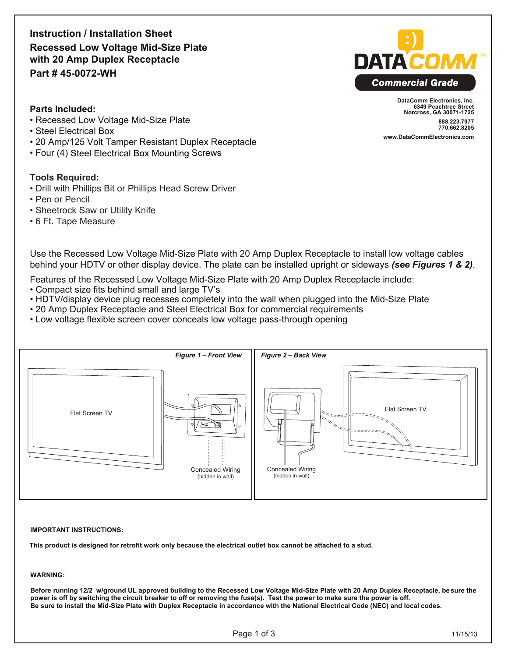**Instruction / Installation Sheet Recessed Low Voltage Mid-Size Plate with 20 Amp Duplex Receptacle Part # 45-0072-WH**



**DataComm Electronics, Inc. 6349 Peachtree Street Norcross, GA 30071-1725 888.223.7977 770.662.8205 www.DataCommElectronics.com**

### **Parts Included:**

- Recessed Low Voltage Mid-Size Plate
- Steel Electrical Box
- 20 Amp/125 Volt Tamper Resistant Duplex Receptacle
- Four (4) Steel Electrical Box Mounting Screws

### **Tools Required:**

- Drill with Phillips Bit or Phillips Head Screw Driver
- Pen or Pencil
- Sheetrock Saw or Utility Knife
- 6 Ft. Tape Measure

Use the Recessed Low Voltage Mid-Size Plate with 20 Amp Duplex Receptacle to install low voltage cables behind your HDTV or other display device. The plate can be installed upright or sideways *(see Figures 1 & 2)*.

Features of the Recessed Low Voltage Mid-Size Plate with 20 Amp Duplex Receptacle include:

- Compact size fits behind small and large TV's
- HDTV/display device plug recesses completely into the wall when plugged into the Mid-Size Plate
- 20 Amp Duplex Receptacle and Steel Electrical Box for commercial requirements
- Low voltage flexible screen cover conceals low voltage pass-through opening



#### **IMPORTANT INSTRUCTIONS:**

**This product is designed for retrofit work only because the electrical outlet box cannot be attached to a stud.** 

#### **WARNING:**

**Before running 12/2 w/ground UL approved building to the Recessed Low Voltage Mid-Size Plate with 20 Amp Duplex Receptacle, be sure the power is off by switching the circuit breaker to off or removing the fuse(s). Test the power to make sure the power is off. Be sure to install the Mid-Size Plate with Duplex Receptacle in accordance with the National Electrical Code (NEC) and local codes.**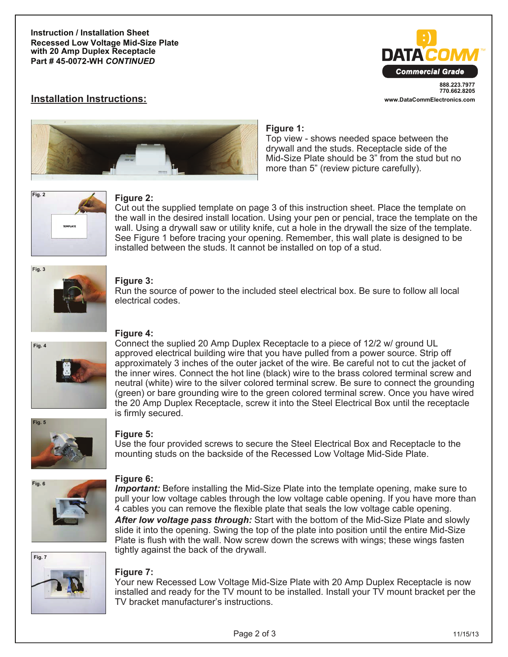**Instruction / Installation Sheet Recessed Low Voltage Mid-Size Plate with 20 Amp Duplex Receptacle Part # 45-0072-WH** *CONTINUED*



**www.DataCommElectronics.com**

# **Installation Instructions:**



### **Figure 1:**

Top view - shows needed space between the drywall and the studs. Receptacle side of the Mid-Size Plate should be 3" from the stud but no more than 5" (review picture carefully).



### **Figure 2:**

Cut out the supplied template on page 3 of this instruction sheet. Place the template on the wall in the desired install location. Using your pen or pencial, trace the template on the wall. Using a drywall saw or utility knife, cut a hole in the drywall the size of the template. See Figure 1 before tracing your opening. Remember, this wall plate is designed to be installed between the studs. It cannot be installed on top of a stud.



## **Figure 3:**

Run the source of power to the included steel electrical box. Be sure to follow all local electrical codes.



# **Figure 4:**

Connect the suplied 20 Amp Duplex Receptacle to a piece of 12/2 w/ ground UL approved electrical building wire that you have pulled from a power source. Strip off approximately 3 inches of the outer jacket of the wire. Be careful not to cut the jacket of the inner wires. Connect the hot line (black) wire to the brass colored terminal screw and neutral (white) wire to the silver colored terminal screw. Be sure to connect the grounding (green) or bare grounding wire to the green colored terminal screw. Once you have wired the 20 Amp Duplex Receptacle, screw it into the Steel Electrical Box until the receptacle is firmly secured.



### **Figure 5:**

Use the four provided screws to secure the Steel Electrical Box and Receptacle to the mounting studs on the backside of the Recessed Low Voltage Mid-Side Plate.



# **Figure 6:**

*Important:* Before installing the Mid-Size Plate into the template opening, make sure to pull your low voltage cables through the low voltage cable opening. If you have more than 4 cables you can remove the flexible plate that seals the low voltage cable opening.

*After low voltage pass through:* Start with the bottom of the Mid-Size Plate and slowly slide it into the opening. Swing the top of the plate into position until the entire Mid-Size Plate is flush with the wall. Now screw down the screws with wings; these wings fasten tightly against the back of the drywall.



### **Figure 7:**

Your new Recessed Low Voltage Mid-Size Plate with 20 Amp Duplex Receptacle is now installed and ready for the TV mount to be installed. Install your TV mount bracket per the TV bracket manufacturer's instructions.